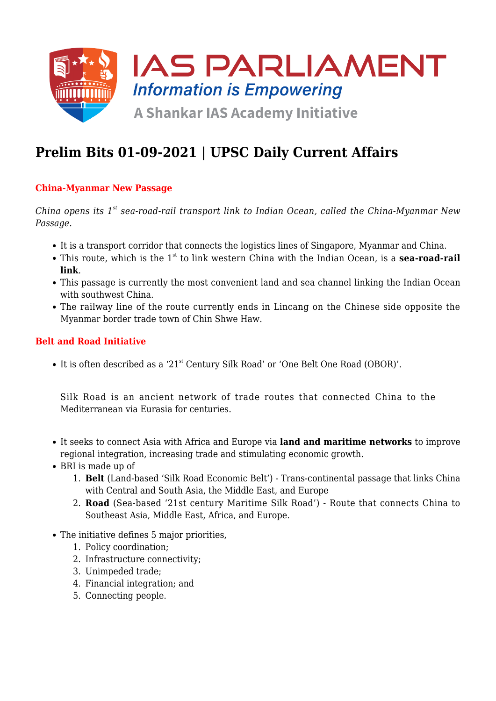

# **Prelim Bits 01-09-2021 | UPSC Daily Current Affairs**

## **China-Myanmar New Passage**

*China opens its 1st sea-road-rail transport link to Indian Ocean, called the China-Myanmar New Passage.*

- It is a transport corridor that connects the logistics lines of Singapore, Myanmar and China.
- This route, which is the 1<sup>st</sup> to link western China with the Indian Ocean, is a **sea-road-rail link**.
- This passage is currently the most convenient land and sea channel linking the Indian Ocean with southwest China.
- The railway line of the route currently ends in Lincang on the Chinese side opposite the Myanmar border trade town of Chin Shwe Haw.

#### **Belt and Road Initiative**

• It is often described as a '21<sup>st</sup> Century Silk Road' or 'One Belt One Road (OBOR)'.

Silk Road is an ancient network of trade routes that connected China to the Mediterranean via Eurasia for centuries.

- It seeks to connect Asia with Africa and Europe via **land and maritime networks** to improve regional integration, increasing trade and stimulating economic growth.
- BRI is made up of
	- 1. **Belt** (Land-based 'Silk Road Economic Belt') Trans-continental passage that links China with Central and South Asia, the Middle East, and Europe
	- 2. **Road** (Sea-based '21st century Maritime Silk Road') Route that connects China to Southeast Asia, Middle East, Africa, and Europe.
- The initiative defines 5 major priorities,
	- 1. Policy coordination;
	- 2. Infrastructure connectivity;
	- 3. Unimpeded trade;
	- 4. Financial integration; and
	- 5. Connecting people.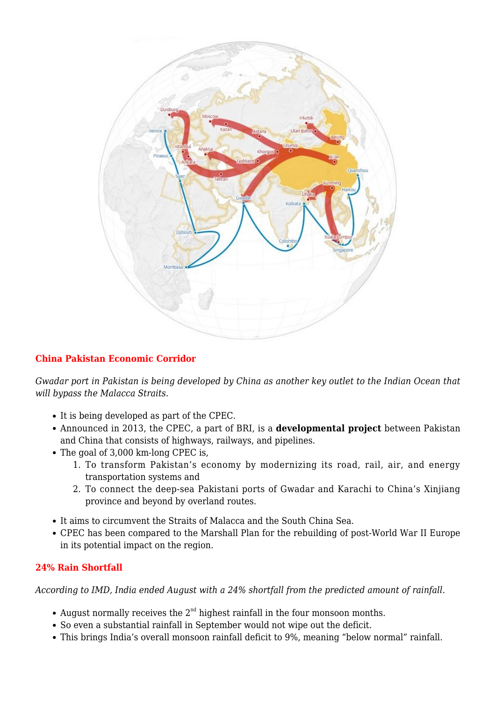

# **China Pakistan Economic Corridor**

*Gwadar port in Pakistan is being developed by China as another key outlet to the Indian Ocean that will bypass the Malacca Straits.*

- It is being developed as part of the CPEC.
- Announced in 2013, the CPEC, a part of BRI, is a **developmental project** between Pakistan and China that consists of highways, railways, and pipelines.
- The goal of 3,000 km-long CPEC is,
	- 1. To transform Pakistan's economy by modernizing its road, rail, air, and energy transportation systems and
	- 2. To connect the deep-sea Pakistani ports of Gwadar and Karachi to China's Xinjiang province and beyond by overland routes.
- It aims to circumvent the Straits of Malacca and the South China Sea.
- CPEC has been compared to the Marshall Plan for the rebuilding of post-World War II Europe in its potential impact on the region.

# **24% Rain Shortfall**

*According to IMD, India ended August with a 24% shortfall from the predicted amount of rainfall.*

- August normally receives the  $2<sup>nd</sup>$  highest rainfall in the four monsoon months.
- So even a substantial rainfall in September would not wipe out the deficit.
- This brings India's overall monsoon rainfall deficit to 9%, meaning "below normal" rainfall.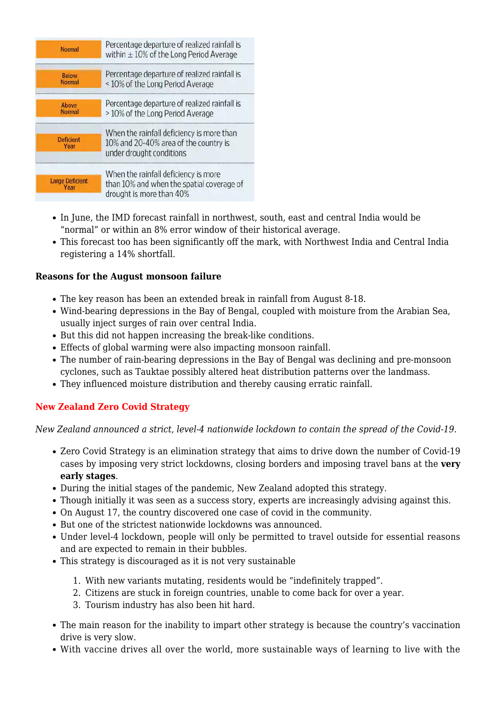| <b>Normal</b>                  | Percentage departure of realized rainfall is<br>within $\pm 10\%$ of the Long Period Average                   |
|--------------------------------|----------------------------------------------------------------------------------------------------------------|
| <b>Below</b><br>Normal         | Percentage departure of realized rainfall is<br><10% of the Long Period Average                                |
| Above<br><b>Normal</b>         | Percentage departure of realized rainfall is<br>>10% of the Long Period Average                                |
| <b>Deficient</b><br>Year       | When the rainfall deficiency is more than<br>10% and 20-40% area of the country is<br>under drought conditions |
| <b>Large Deficient</b><br>Year | When the rainfall deficiency is more<br>than 10% and when the spatial coverage of<br>drought is more than 40%  |

- In June, the IMD forecast rainfall in northwest, south, east and central India would be "normal" or within an 8% error window of their historical average.
- This forecast too has been significantly off the mark, with Northwest India and Central India registering a 14% shortfall.

#### **Reasons for the August monsoon failure**

- The key reason has been an extended break in rainfall from August 8-18.
- Wind-bearing depressions in the Bay of Bengal, coupled with moisture from the Arabian Sea, usually inject surges of rain over central India.
- But this did not happen increasing the break-like conditions.
- Effects of global warming were also impacting monsoon rainfall.
- The number of rain-bearing depressions in the Bay of Bengal was declining and pre-monsoon cyclones, such as Tauktae possibly altered heat distribution patterns over the landmass.
- They influenced moisture distribution and thereby causing erratic rainfall.

## **New Zealand Zero Covid Strategy**

*New Zealand announced a strict, level-4 nationwide lockdown to contain the spread of the Covid-19.*

- Zero Covid Strategy is an elimination strategy that aims to drive down the number of Covid-19 cases by imposing very strict lockdowns, closing borders and imposing travel bans at the **very early stages**.
- During the initial stages of the pandemic, New Zealand adopted this strategy.
- Though initially it was seen as a success story, experts are increasingly advising against this.
- On August 17, the country discovered one case of covid in the community.
- But one of the strictest nationwide lockdowns was announced.
- Under level-4 lockdown, people will only be permitted to travel outside for essential reasons and are expected to remain in their bubbles.
- This strategy is discouraged as it is not very sustainable
	- 1. With new variants mutating, residents would be "indefinitely trapped".
	- 2. Citizens are stuck in foreign countries, unable to come back for over a year.
	- 3. Tourism industry has also been hit hard.
- The main reason for the inability to impart other strategy is because the country's vaccination drive is very slow.
- With vaccine drives all over the world, more sustainable ways of learning to live with the